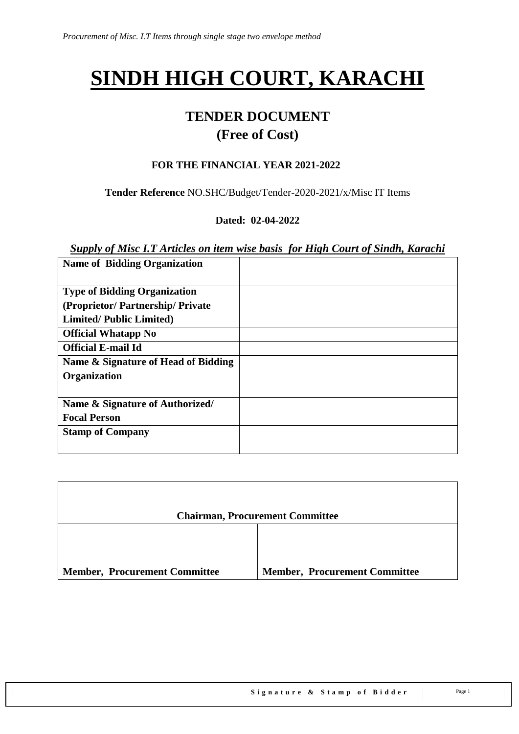# **SINDH HIGH COURT, KARACHI**

# **TENDER DOCUMENT (Free of Cost)**

#### **FOR THE FINANCIAL YEAR 2021-2022**

**Tender Reference** NO.SHC/Budget/Tender-2020-2021/x/Misc IT Items

#### **Dated: 02-04-2022**

#### *Supply of Misc I.T Articles on item wise basis for High Court of Sindh, Karachi*

| <b>Name of Bidding Organization</b> |  |
|-------------------------------------|--|
|                                     |  |
| <b>Type of Bidding Organization</b> |  |
| (Proprietor/Partnership/Private)    |  |
| <b>Limited/Public Limited)</b>      |  |
| <b>Official Whatapp No</b>          |  |
| <b>Official E-mail Id</b>           |  |
| Name & Signature of Head of Bidding |  |
| Organization                        |  |
|                                     |  |
| Name & Signature of Authorized/     |  |
| <b>Focal Person</b>                 |  |
| <b>Stamp of Company</b>             |  |
|                                     |  |

|                                      | <b>Chairman, Procurement Committee</b> |
|--------------------------------------|----------------------------------------|
|                                      |                                        |
| <b>Member, Procurement Committee</b> | <b>Member, Procurement Committee</b>   |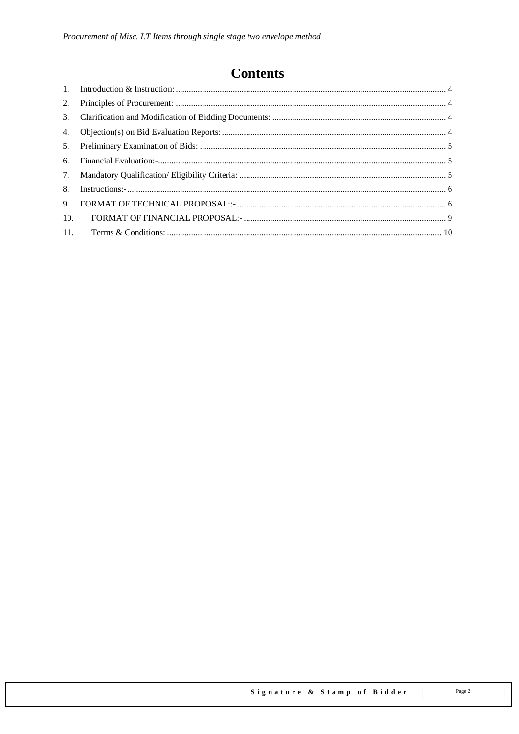# **Contents**

| 3.  |  |
|-----|--|
| 4.  |  |
| 5.  |  |
| 6.  |  |
|     |  |
| 8.  |  |
| 9.  |  |
| 10. |  |
| 11. |  |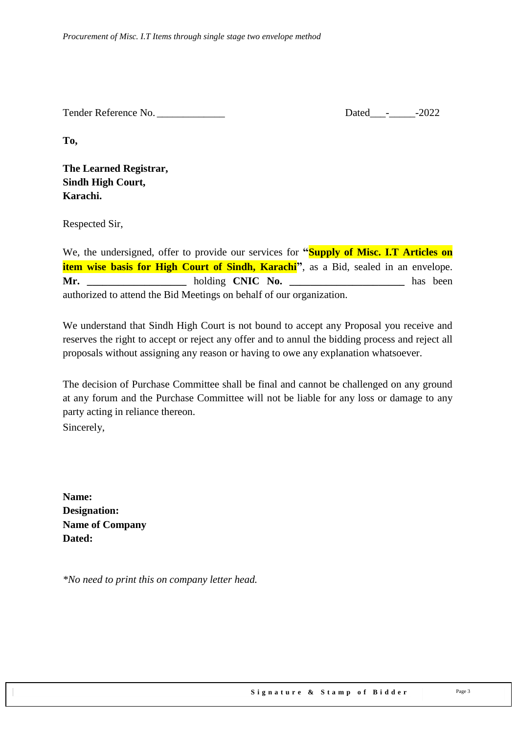Tender Reference No. \_\_\_\_\_\_\_\_\_\_\_\_\_ Dated\_\_\_-\_\_\_\_\_-2022

**To,** 

**The Learned Registrar, Sindh High Court, Karachi.**

Respected Sir,

We, the undersigned, offer to provide our services for **"Supply of Misc. I.T Articles on item wise basis for High Court of Sindh, Karachi"**, as a Bid, sealed in an envelope. **Mr. \_\_\_\_\_\_\_\_\_\_\_\_\_\_\_\_\_\_\_** holding **CNIC No. \_\_\_\_\_\_\_\_\_\_\_\_\_\_\_\_\_\_\_\_\_\_** has been authorized to attend the Bid Meetings on behalf of our organization.

We understand that Sindh High Court is not bound to accept any Proposal you receive and reserves the right to accept or reject any offer and to annul the bidding process and reject all proposals without assigning any reason or having to owe any explanation whatsoever.

The decision of Purchase Committee shall be final and cannot be challenged on any ground at any forum and the Purchase Committee will not be liable for any loss or damage to any party acting in reliance thereon.

Sincerely,

**Name: Designation: Name of Company Dated:**

*\*No need to print this on company letter head.*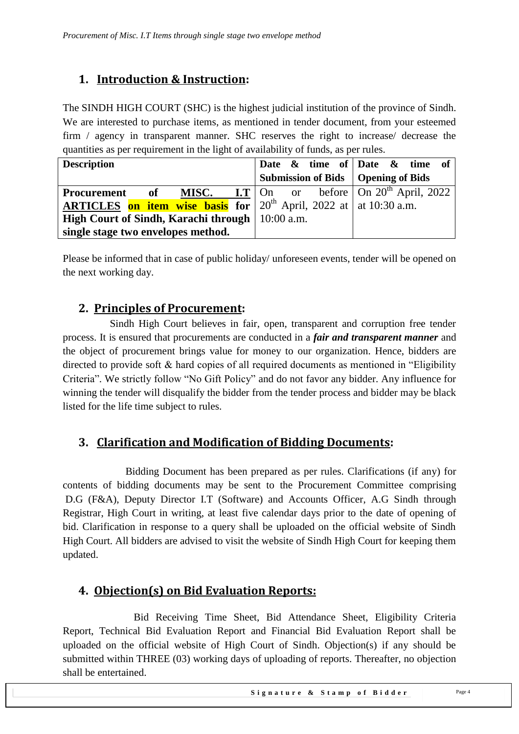## <span id="page-3-0"></span>**1. Introduction & Instruction:**

The SINDH HIGH COURT (SHC) is the highest judicial institution of the province of [Sindh.](https://en.wikipedia.org/wiki/Sindh) We are interested to purchase items, as mentioned in tender document, from your esteemed firm / agency in transparent manner. SHC reserves the right to increase/ decrease the quantities as per requirement in the light of availability of funds, as per rules.

| <b>Description</b>                                                                           |  |  |  | Date $\&$ time of Date $\&$ time of  |  |  |
|----------------------------------------------------------------------------------------------|--|--|--|--------------------------------------|--|--|
|                                                                                              |  |  |  | Submission of Bids   Opening of Bids |  |  |
| <b>Procurement</b> of MISC. I.T $\vert$ On or before $\vert$ On 20 <sup>th</sup> April, 2022 |  |  |  |                                      |  |  |
| <b>ARTICLES</b> on item wise basis for $20^{th}$ April, 2022 at at 10:30 a.m.                |  |  |  |                                      |  |  |
| High Court of Sindh, Karachi through   10:00 a.m.                                            |  |  |  |                                      |  |  |
| single stage two envelopes method.                                                           |  |  |  |                                      |  |  |

<span id="page-3-1"></span>Please be informed that in case of public holiday/ unforeseen events, tender will be opened on the next working day.

## **2. Principles of Procurement:**

 Sindh High Court believes in fair, open, transparent and corruption free tender process. It is ensured that procurements are conducted in a *fair and transparent manner* and the object of procurement brings value for money to our organization. Hence, bidders are directed to provide soft  $\&$  hard copies of all required documents as mentioned in "Eligibility" Criteria". We strictly follow "No Gift Policy" and do not favor any bidder. Any influence for winning the tender will disqualify the bidder from the tender process and bidder may be black listed for the life time subject to rules.

## <span id="page-3-2"></span>**3. Clarification and Modification of Bidding Documents:**

Bidding Document has been prepared as per rules. Clarifications (if any) for contents of bidding documents may be sent to the Procurement Committee comprising D.G (F&A), Deputy Director I.T (Software) and Accounts Officer, A.G Sindh through Registrar, High Court in writing, at least five calendar days prior to the date of opening of bid. Clarification in response to a query shall be uploaded on the official website of Sindh High Court. All bidders are advised to visit the website of Sindh High Court for keeping them updated.

## <span id="page-3-3"></span>**4. Objection(s) on Bid Evaluation Reports:**

 Bid Receiving Time Sheet, Bid Attendance Sheet, Eligibility Criteria Report, Technical Bid Evaluation Report and Financial Bid Evaluation Report shall be uploaded on the official website of High Court of Sindh. Objection(s) if any should be submitted within THREE (03) working days of uploading of reports. Thereafter, no objection shall be entertained.

Signature & Stamp of Bidder Page 4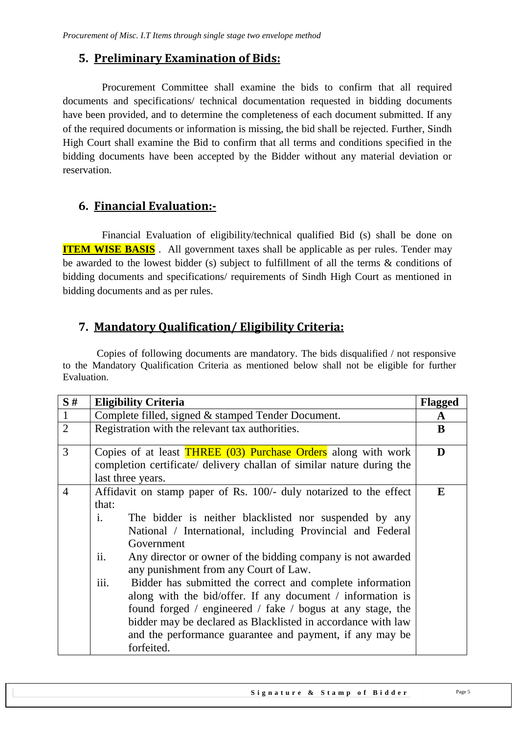#### <span id="page-4-0"></span>**5. Preliminary Examination of Bids:**

 Procurement Committee shall examine the bids to confirm that all required documents and specifications/ technical documentation requested in bidding documents have been provided, and to determine the completeness of each document submitted. If any of the required documents or information is missing, the bid shall be rejected. Further, Sindh High Court shall examine the Bid to confirm that all terms and conditions specified in the bidding documents have been accepted by the Bidder without any material deviation or reservation.

#### <span id="page-4-1"></span>**6. Financial Evaluation:-**

 Financial Evaluation of eligibility/technical qualified Bid (s) shall be done on **ITEM WISE BASIS**. All government taxes shall be applicable as per rules. Tender may be awarded to the lowest bidder (s) subject to fulfillment of all the terms & conditions of bidding documents and specifications/ requirements of Sindh High Court as mentioned in bidding documents and as per rules.

#### <span id="page-4-2"></span>**7. Mandatory Qualification/ Eligibility Criteria:**

 Copies of following documents are mandatory. The bids disqualified / not responsive to the Mandatory Qualification Criteria as mentioned below shall not be eligible for further Evaluation.

| S#             | <b>Eligibility Criteria</b>                                                                                                                                                                                                                                                                                                                                                                                                                                                                                                                                                                                                                                                                   | Flagged |  |  |
|----------------|-----------------------------------------------------------------------------------------------------------------------------------------------------------------------------------------------------------------------------------------------------------------------------------------------------------------------------------------------------------------------------------------------------------------------------------------------------------------------------------------------------------------------------------------------------------------------------------------------------------------------------------------------------------------------------------------------|---------|--|--|
| $\mathbf{1}$   | Complete filled, signed & stamped Tender Document.                                                                                                                                                                                                                                                                                                                                                                                                                                                                                                                                                                                                                                            | A       |  |  |
| $\overline{2}$ | Registration with the relevant tax authorities.                                                                                                                                                                                                                                                                                                                                                                                                                                                                                                                                                                                                                                               | B       |  |  |
| $\overline{3}$ | Copies of at least <b>THREE</b> (03) Purchase Orders along with work<br>completion certificate/ delivery challan of similar nature during the<br>last three years.                                                                                                                                                                                                                                                                                                                                                                                                                                                                                                                            |         |  |  |
| $\overline{4}$ | Affidavit on stamp paper of Rs. 100/- duly notarized to the effect<br>that:<br>The bidder is neither blacklisted nor suspended by any<br>$\mathbf{i}$ .<br>National / International, including Provincial and Federal<br>Government<br>ii.<br>Any director or owner of the bidding company is not awarded<br>any punishment from any Court of Law.<br>iii.<br>Bidder has submitted the correct and complete information<br>along with the bid/offer. If any document / information is<br>found forged / engineered / fake / bogus at any stage, the<br>bidder may be declared as Blacklisted in accordance with law<br>and the performance guarantee and payment, if any may be<br>forfeited. | E       |  |  |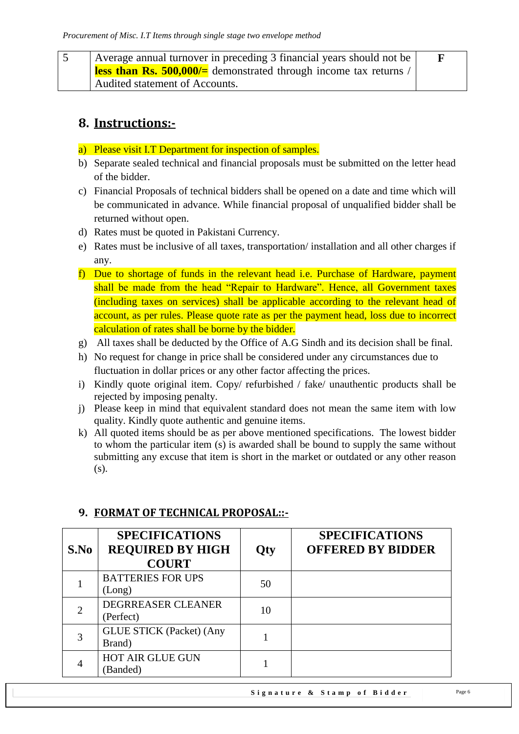| Average annual turnover in preceding 3 financial years should not be    |  |  |  |
|-------------------------------------------------------------------------|--|--|--|
| <b>less than Rs. 500,000/</b> demonstrated through income tax returns / |  |  |  |
| Audited statement of Accounts.                                          |  |  |  |

## <span id="page-5-0"></span>**8. Instructions:-**

- a) Please visit I.T Department for inspection of samples.
- b) Separate sealed technical and financial proposals must be submitted on the letter head of the bidder.
- c) Financial Proposals of technical bidders shall be opened on a date and time which will be communicated in advance. While financial proposal of unqualified bidder shall be returned without open.
- d) Rates must be quoted in Pakistani Currency.
- e) Rates must be inclusive of all taxes, transportation/ installation and all other charges if any.
- f) Due to shortage of funds in the relevant head i.e. Purchase of Hardware, payment shall be made from the head "Repair to Hardware". Hence, all Government taxes (including taxes on services) shall be applicable according to the relevant head of account, as per rules. Please quote rate as per the payment head, loss due to incorrect calculation of rates shall be borne by the bidder.
- g) All taxes shall be deducted by the Office of A.G Sindh and its decision shall be final.
- h) No request for change in price shall be considered under any circumstances due to fluctuation in dollar prices or any other factor affecting the prices.
- i) Kindly quote original item. Copy/ refurbished / fake/ unauthentic products shall be rejected by imposing penalty.
- j) Please keep in mind that equivalent standard does not mean the same item with low quality. Kindly quote authentic and genuine items.
- k) All quoted items should be as per above mentioned specifications. The lowest bidder to whom the particular item (s) is awarded shall be bound to supply the same without submitting any excuse that item is short in the market or outdated or any other reason (s).

| S.No           | <b>SPECIFICATIONS</b><br><b>REQUIRED BY HIGH</b><br><b>COURT</b> | <b>Qty</b> | <b>SPECIFICATIONS</b><br><b>OFFERED BY BIDDER</b> |
|----------------|------------------------------------------------------------------|------------|---------------------------------------------------|
|                | <b>BATTERIES FOR UPS</b><br>(Long)                               | 50         |                                                   |
| $\overline{2}$ | DEGRREASER CLEANER<br>(Perfect)                                  | 10         |                                                   |
| 3              | <b>GLUE STICK (Packet) (Any</b><br>Brand)                        |            |                                                   |
| 4              | <b>HOT AIR GLUE GUN</b><br>(Banded)                              |            |                                                   |

#### <span id="page-5-1"></span>**9. FORMAT OF TECHNICAL PROPOSAL::-**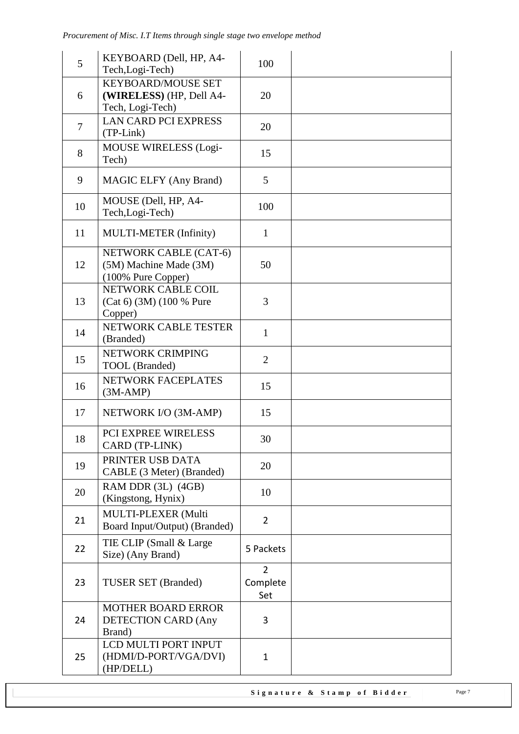| 5              | KEYBOARD (Dell, HP, A4-<br>Tech, Logi-Tech)                               | 100                               |  |
|----------------|---------------------------------------------------------------------------|-----------------------------------|--|
| 6              | <b>KEYBOARD/MOUSE SET</b><br>(WIRELESS) (HP, Dell A4-<br>Tech, Logi-Tech) | 20                                |  |
| $\overline{7}$ | <b>LAN CARD PCI EXPRESS</b><br>(TP-Link)                                  | 20                                |  |
| 8              | <b>MOUSE WIRELESS (Logi-</b><br>Tech)                                     | 15                                |  |
| 9              | <b>MAGIC ELFY (Any Brand)</b>                                             | 5                                 |  |
| 10             | MOUSE (Dell, HP, A4-<br>Tech, Logi-Tech)                                  | 100                               |  |
| 11             | MULTI-METER (Infinity)                                                    | $\mathbf{1}$                      |  |
| 12             | NETWORK CABLE (CAT-6)<br>(5M) Machine Made (3M)<br>(100% Pure Copper)     | 50                                |  |
| 13             | NETWORK CABLE COIL<br>(Cat 6) (3M) (100 % Pure<br>Copper)                 | 3                                 |  |
| 14             | NETWORK CABLE TESTER<br>(Branded)                                         | $\mathbf{1}$                      |  |
| 15             | NETWORK CRIMPING<br>TOOL (Branded)                                        | $\overline{2}$                    |  |
| 16             | NETWORK FACEPLATES<br>$(3M-AMP)$                                          | 15                                |  |
| 17             | NETWORK I/O (3M-AMP)                                                      | 15                                |  |
| 18             | <b>PCI EXPREE WIRELESS</b><br>CARD (TP-LINK)                              | 30                                |  |
| 19             | PRINTER USB DATA<br>CABLE (3 Meter) (Branded)                             | 20                                |  |
| 20             | RAM DDR (3L) (4GB)<br>(Kingstong, Hynix)                                  | 10                                |  |
| 21             | MULTI-PLEXER (Multi<br>Board Input/Output) (Branded)                      | $\overline{2}$                    |  |
| 22             | TIE CLIP (Small & Large)<br>Size) (Any Brand)                             | 5 Packets                         |  |
| 23             | <b>TUSER SET (Branded)</b>                                                | $\overline{2}$<br>Complete<br>Set |  |
| 24             | <b>MOTHER BOARD ERROR</b><br><b>DETECTION CARD (Any</b><br>Brand)         | 3                                 |  |
| 25             | LCD MULTI PORT INPUT<br>(HDMI/D-PORT/VGA/DVI)<br>(HP/DELL)                | $\mathbf{1}$                      |  |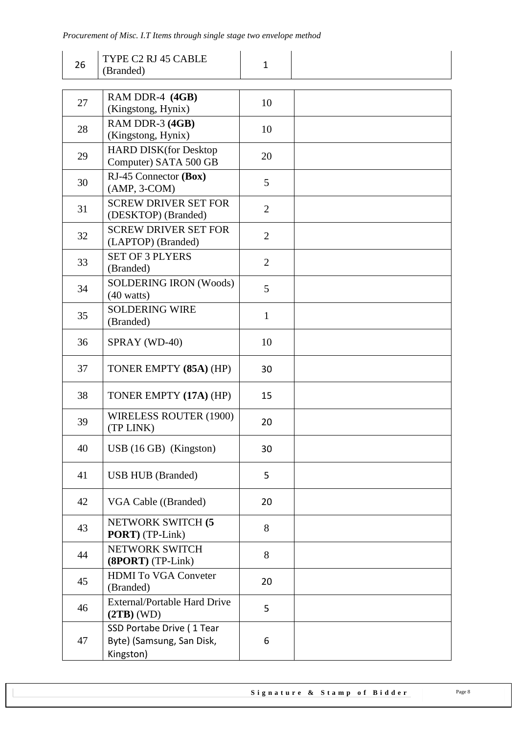| 26 | TYPE C2 RJ 45 CABLE<br>(Branded)                                    | $\mathbf{1}$   |  |
|----|---------------------------------------------------------------------|----------------|--|
|    |                                                                     |                |  |
| 27 | RAM DDR-4 (4GB)<br>(Kingstong, Hynix)                               | 10             |  |
| 28 | RAM DDR-3 (4GB)<br>(Kingstong, Hynix)                               | 10             |  |
| 29 | <b>HARD DISK(for Desktop</b><br>Computer) SATA 500 GB               | 20             |  |
| 30 | RJ-45 Connector (Box)<br>$(AMP, 3-COM)$                             | 5              |  |
| 31 | <b>SCREW DRIVER SET FOR</b><br>(DESKTOP) (Branded)                  | $\overline{2}$ |  |
| 32 | <b>SCREW DRIVER SET FOR</b><br>(LAPTOP) (Branded)                   | $\overline{2}$ |  |
| 33 | <b>SET OF 3 PLYERS</b><br>(Branded)                                 | $\overline{2}$ |  |
| 34 | <b>SOLDERING IRON (Woods)</b><br>$(40 \text{ watts})$               | 5              |  |
| 35 | <b>SOLDERING WIRE</b><br>(Branded)                                  | $\mathbf{1}$   |  |
| 36 | SPRAY (WD-40)                                                       | 10             |  |
| 37 | TONER EMPTY (85A) (HP)                                              | 30             |  |
| 38 | TONER EMPTY (17A) (HP)                                              | 15             |  |
| 39 | <b>WIRELESS ROUTER (1900)</b><br>(TP LINK)                          | 20             |  |
| 40 | $\text{USB}$ (16 GB) (Kingston)                                     | 30             |  |
| 41 | <b>USB HUB</b> (Branded)                                            | 5              |  |
| 42 | VGA Cable ((Branded)                                                | 20             |  |
| 43 | NETWORK SWITCH (5<br>PORT) (TP-Link)                                | 8              |  |
| 44 | NETWORK SWITCH<br>(8PORT) (TP-Link)                                 | 8              |  |
| 45 | <b>HDMI</b> To VGA Conveter<br>(Branded)                            | 20             |  |
| 46 | <b>External/Portable Hard Drive</b><br>$(2TB)$ (WD)                 | 5              |  |
| 47 | SSD Portabe Drive (1 Tear<br>Byte) (Samsung, San Disk,<br>Kingston) | 6              |  |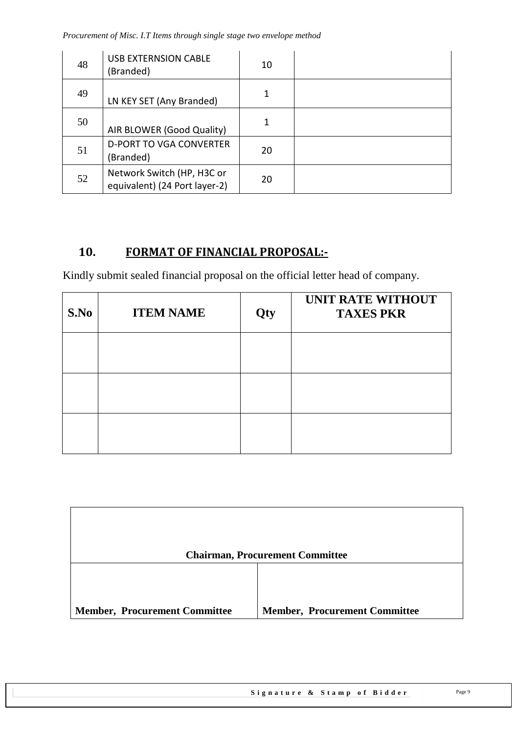*Procurement of Misc. I.T Items through single stage two envelope method*

| 48 | <b>USB EXTERNSION CABLE</b><br>(Branded)                    | 10 |  |
|----|-------------------------------------------------------------|----|--|
| 49 | LN KEY SET (Any Branded)                                    |    |  |
| 50 | AIR BLOWER (Good Quality)                                   |    |  |
| 51 | <b>D-PORT TO VGA CONVERTER</b><br>(Branded)                 | 20 |  |
| 52 | Network Switch (HP, H3C or<br>equivalent) (24 Port layer-2) | 20 |  |

## <span id="page-8-0"></span>**10. FORMAT OF FINANCIAL PROPOSAL:-**

Kindly submit sealed financial proposal on the official letter head of company.

| S.No | <b>ITEM NAME</b> | Qty | <b>UNIT RATE WITHOUT</b><br><b>TAXES PKR</b> |
|------|------------------|-----|----------------------------------------------|
|      |                  |     |                                              |
|      |                  |     |                                              |
|      |                  |     |                                              |

|                                      | <b>Chairman, Procurement Committee</b> |
|--------------------------------------|----------------------------------------|
| <b>Member, Procurement Committee</b> | <b>Member, Procurement Committee</b>   |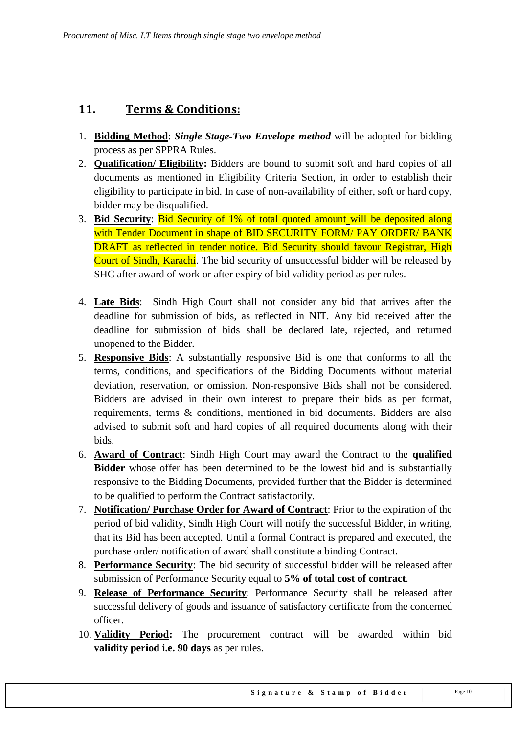#### <span id="page-9-0"></span>**11. Terms & Conditions:**

- 1. **Bidding Method**: *Single Stage-Two Envelope method* will be adopted for bidding process as per SPPRA Rules.
- 2. **Qualification/ Eligibility:** Bidders are bound to submit soft and hard copies of all documents as mentioned in Eligibility Criteria Section, in order to establish their eligibility to participate in bid. In case of non-availability of either, soft or hard copy, bidder may be disqualified.
- 3. **Bid Security**: Bid Security of 1% of total quoted amount will be deposited along with Tender Document in shape of BID SECURITY FORM/ PAY ORDER/ BANK DRAFT as reflected in tender notice. Bid Security should favour Registrar, High Court of Sindh, Karachi. The bid security of unsuccessful bidder will be released by SHC after award of work or after expiry of bid validity period as per rules.
- 4. **Late Bids**: Sindh High Court shall not consider any bid that arrives after the deadline for submission of bids, as reflected in NIT. Any bid received after the deadline for submission of bids shall be declared late, rejected, and returned unopened to the Bidder.
- 5. **Responsive Bids**: A substantially responsive Bid is one that conforms to all the terms, conditions, and specifications of the Bidding Documents without material deviation, reservation, or omission. Non-responsive Bids shall not be considered. Bidders are advised in their own interest to prepare their bids as per format, requirements, terms & conditions, mentioned in bid documents. Bidders are also advised to submit soft and hard copies of all required documents along with their bids.
- 6. **Award of Contract**: Sindh High Court may award the Contract to the **qualified Bidder** whose offer has been determined to be the lowest bid and is substantially responsive to the Bidding Documents, provided further that the Bidder is determined to be qualified to perform the Contract satisfactorily.
- 7. **Notification/ Purchase Order for Award of Contract**: Prior to the expiration of the period of bid validity, Sindh High Court will notify the successful Bidder, in writing, that its Bid has been accepted. Until a formal Contract is prepared and executed, the purchase order/ notification of award shall constitute a binding Contract.
- 8. **Performance Security**: The bid security of successful bidder will be released after submission of Performance Security equal to **5% of total cost of contract**.
- 9. **Release of Performance Security**: Performance Security shall be released after successful delivery of goods and issuance of satisfactory certificate from the concerned officer.
- 10. **Validity Period:** The procurement contract will be awarded within bid **validity period i.e. 90 days** as per rules.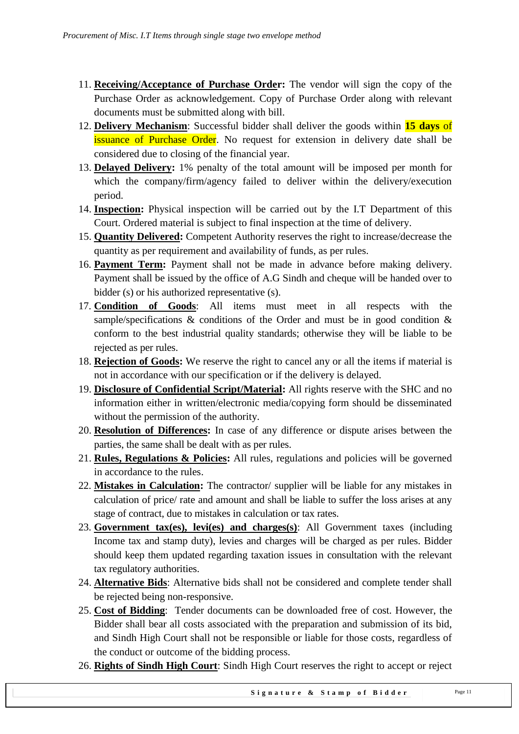- 11. **Receiving/Acceptance of Purchase Order:** The vendor will sign the copy of the Purchase Order as acknowledgement. Copy of Purchase Order along with relevant documents must be submitted along with bill.
- 12. **Delivery Mechanism**: Successful bidder shall deliver the goods within **15 days** of **issuance of Purchase Order.** No request for extension in delivery date shall be considered due to closing of the financial year.
- 13. **Delayed Delivery:** 1% penalty of the total amount will be imposed per month for which the company/firm/agency failed to deliver within the delivery/execution period.
- 14. **Inspection:** Physical inspection will be carried out by the I.T Department of this Court. Ordered material is subject to final inspection at the time of delivery.
- 15. **Quantity Delivered:** Competent Authority reserves the right to increase/decrease the quantity as per requirement and availability of funds, as per rules.
- 16. **Payment Term:** Payment shall not be made in advance before making delivery. Payment shall be issued by the office of A.G Sindh and cheque will be handed over to bidder (s) or his authorized representative (s).
- 17. **Condition of Goods**: All items must meet in all respects with the sample/specifications & conditions of the Order and must be in good condition  $\&$ conform to the best industrial quality standards; otherwise they will be liable to be rejected as per rules.
- 18. **Rejection of Goods:** We reserve the right to cancel any or all the items if material is not in accordance with our specification or if the delivery is delayed.
- 19. **Disclosure of Confidential Script/Material:** All rights reserve with the SHC and no information either in written/electronic media/copying form should be disseminated without the permission of the authority.
- 20. **Resolution of Differences:** In case of any difference or dispute arises between the parties, the same shall be dealt with as per rules.
- 21. **Rules, Regulations & Policies:** All rules, regulations and policies will be governed in accordance to the rules.
- 22. **Mistakes in Calculation:** The contractor/ supplier will be liable for any mistakes in calculation of price/ rate and amount and shall be liable to suffer the loss arises at any stage of contract, due to mistakes in calculation or tax rates.
- 23. **Government tax(es), levi(es) and charges(s)**: All Government taxes (including Income tax and stamp duty), levies and charges will be charged as per rules. Bidder should keep them updated regarding taxation issues in consultation with the relevant tax regulatory authorities.
- 24. **Alternative Bids**: Alternative bids shall not be considered and complete tender shall be rejected being non-responsive.
- 25. **Cost of Bidding**: Tender documents can be downloaded free of cost. However, the Bidder shall bear all costs associated with the preparation and submission of its bid, and Sindh High Court shall not be responsible or liable for those costs, regardless of the conduct or outcome of the bidding process.
- 26. **Rights of Sindh High Court**: Sindh High Court reserves the right to accept or reject